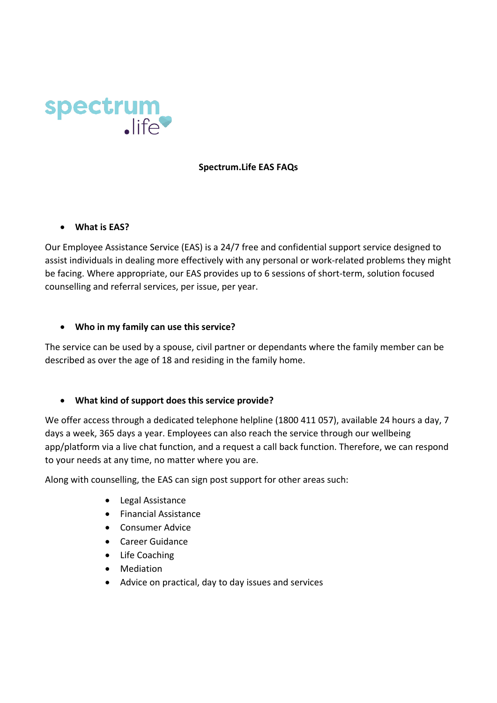

#### **Spectrum.Life EAS FAQs**

• **What is EAS?**

Our Employee Assistance Service (EAS) is a 24/7 free and confidential support service designed to assist individuals in dealing more effectively with any personal or work-related problems they might be facing. Where appropriate, our EAS provides up to 6 sessions of short-term, solution focused counselling and referral services, per issue, per year.

#### • **Who in my family can use this service?**

The service can be used by a spouse, civil partner or dependants where the family member can be described as over the age of 18 and residing in the family home.

#### • **What kind of support does this service provide?**

We offer access through a dedicated telephone helpline (1800 411 057), available 24 hours a day, 7 days a week, 365 days a year. Employees can also reach the service through our wellbeing app/platform via a live chat function, and a request a call back function. Therefore, we can respond to your needs at any time, no matter where you are.

Along with counselling, the EAS can sign post support for other areas such:

- Legal Assistance
- Financial Assistance
- Consumer Advice
- Career Guidance
- Life Coaching
- Mediation
- Advice on practical, day to day issues and services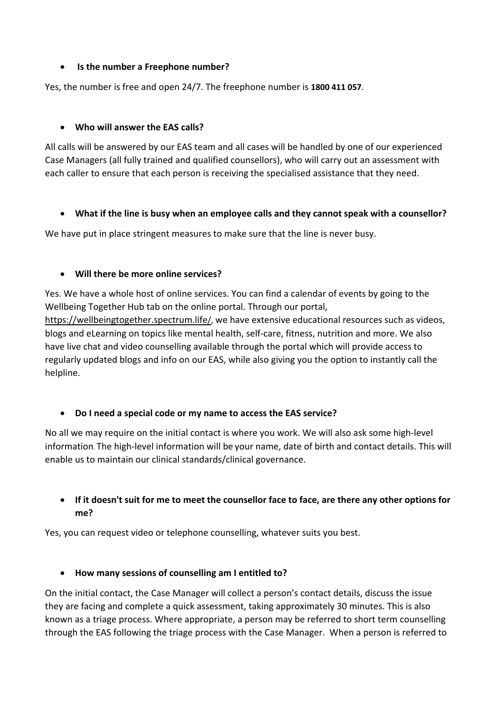#### • **Is the number a Freephone number?**

Yes, the number is free and open 24/7. The freephone number is **1800 411 057**.

#### • **Who will answer the EAS calls?**

All calls will be answered by our EAS team and all cases will be handled by one of our experienced Case Managers (all fully trained and qualified counsellors), who will carry out an assessment with each caller to ensure that each person is receiving the specialised assistance that they need.

#### • **What if the line is busy when an employee calls and they cannot speak with a counsellor?**

We have put in place stringent measures to make sure that the line is never busy.

#### • **Will there be more online services?**

Yes. We have a whole host of online services. You can find a calendar of events by going to the Wellbeing Together Hub tab on the online portal. Through our portal,

[https://wellbeingtogether.spectrum.life/,](https://wellbeingtogether.spectrum.life/) we have extensive educational resources such as videos, blogs and eLearning on topics like mental health, self-care, fitness, nutrition and more. We also have live chat and video counselling available through the portal which will provide access to regularly updated blogs and info on our EAS, while also giving you the option to instantly call the helpline.

#### • **Do I need a special code or my name to access the EAS service?**

No all we may require on the initial contact is where you work. We will also ask some high-level information. The high-level information will be your name, date of birth and contact details. This will enable us to maintain our clinical standards/clinical governance.

# • **If it doesn't suit for me to meet the counsellor face to face, are there any other options for me?**

Yes, you can request video or telephone counselling, whatever suits you best.

# • **How many sessions of counselling am I entitled to?**

On the initial contact, the Case Manager will collect a person's contact details, discuss the issue they are facing and complete a quick assessment, taking approximately 30 minutes. This is also known as a triage process. Where appropriate, a person may be referred to short term counselling through the EAS following the triage process with the Case Manager. When a person is referred to